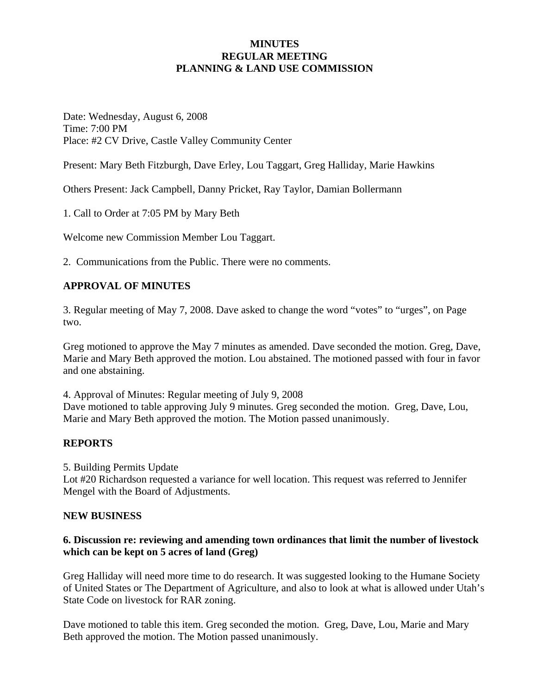## **MINUTES REGULAR MEETING PLANNING & LAND USE COMMISSION**

Date: Wednesday, August 6, 2008 Time: 7:00 PM Place: #2 CV Drive, Castle Valley Community Center

Present: Mary Beth Fitzburgh, Dave Erley, Lou Taggart, Greg Halliday, Marie Hawkins

Others Present: Jack Campbell, Danny Pricket, Ray Taylor, Damian Bollermann

1. Call to Order at 7:05 PM by Mary Beth

Welcome new Commission Member Lou Taggart.

2. Communications from the Public. There were no comments.

#### **APPROVAL OF MINUTES**

3. Regular meeting of May 7, 2008. Dave asked to change the word "votes" to "urges", on Page two.

Greg motioned to approve the May 7 minutes as amended. Dave seconded the motion. Greg, Dave, Marie and Mary Beth approved the motion. Lou abstained. The motioned passed with four in favor and one abstaining.

4. Approval of Minutes: Regular meeting of July 9, 2008

Dave motioned to table approving July 9 minutes. Greg seconded the motion. Greg, Dave, Lou, Marie and Mary Beth approved the motion. The Motion passed unanimously.

#### **REPORTS**

5. Building Permits Update

Lot #20 Richardson requested a variance for well location. This request was referred to Jennifer Mengel with the Board of Adjustments.

#### **NEW BUSINESS**

#### **6. Discussion re: reviewing and amending town ordinances that limit the number of livestock which can be kept on 5 acres of land (Greg)**

Greg Halliday will need more time to do research. It was suggested looking to the Humane Society of United States or The Department of Agriculture, and also to look at what is allowed under Utah's State Code on livestock for RAR zoning.

Dave motioned to table this item. Greg seconded the motion. Greg, Dave, Lou, Marie and Mary Beth approved the motion. The Motion passed unanimously.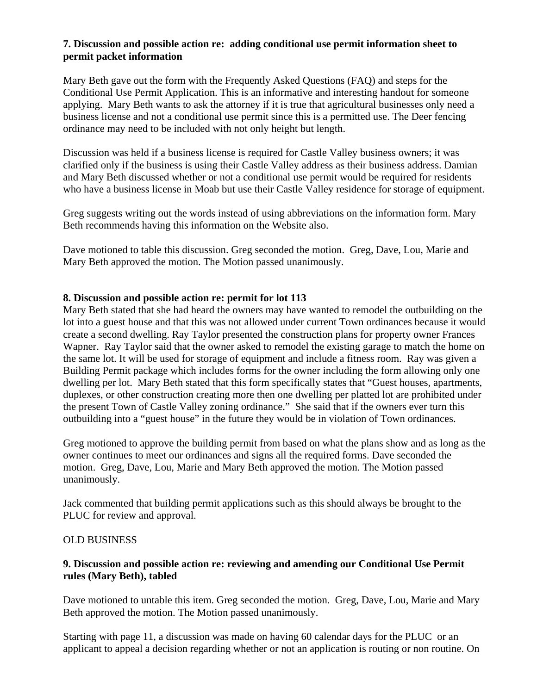## **7. Discussion and possible action re: adding conditional use permit information sheet to permit packet information**

Mary Beth gave out the form with the Frequently Asked Questions (FAQ) and steps for the Conditional Use Permit Application. This is an informative and interesting handout for someone applying. Mary Beth wants to ask the attorney if it is true that agricultural businesses only need a business license and not a conditional use permit since this is a permitted use. The Deer fencing ordinance may need to be included with not only height but length.

Discussion was held if a business license is required for Castle Valley business owners; it was clarified only if the business is using their Castle Valley address as their business address. Damian and Mary Beth discussed whether or not a conditional use permit would be required for residents who have a business license in Moab but use their Castle Valley residence for storage of equipment.

Greg suggests writing out the words instead of using abbreviations on the information form. Mary Beth recommends having this information on the Website also.

Dave motioned to table this discussion. Greg seconded the motion. Greg, Dave, Lou, Marie and Mary Beth approved the motion. The Motion passed unanimously.

## **8. Discussion and possible action re: permit for lot 113**

Mary Beth stated that she had heard the owners may have wanted to remodel the outbuilding on the lot into a guest house and that this was not allowed under current Town ordinances because it would create a second dwelling. Ray Taylor presented the construction plans for property owner Frances Wapner. Ray Taylor said that the owner asked to remodel the existing garage to match the home on the same lot. It will be used for storage of equipment and include a fitness room. Ray was given a Building Permit package which includes forms for the owner including the form allowing only one dwelling per lot. Mary Beth stated that this form specifically states that "Guest houses, apartments, duplexes, or other construction creating more then one dwelling per platted lot are prohibited under the present Town of Castle Valley zoning ordinance." She said that if the owners ever turn this outbuilding into a "guest house" in the future they would be in violation of Town ordinances.

Greg motioned to approve the building permit from based on what the plans show and as long as the owner continues to meet our ordinances and signs all the required forms. Dave seconded the motion. Greg, Dave, Lou, Marie and Mary Beth approved the motion. The Motion passed unanimously.

Jack commented that building permit applications such as this should always be brought to the PLUC for review and approval.

#### OLD BUSINESS

## **9. Discussion and possible action re: reviewing and amending our Conditional Use Permit rules (Mary Beth), tabled**

Dave motioned to untable this item. Greg seconded the motion. Greg, Dave, Lou, Marie and Mary Beth approved the motion. The Motion passed unanimously.

Starting with page 11, a discussion was made on having 60 calendar days for the PLUC or an applicant to appeal a decision regarding whether or not an application is routing or non routine. On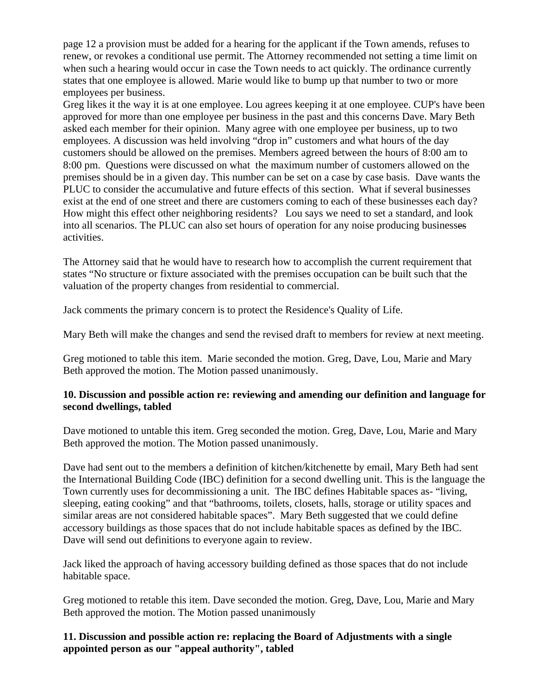page 12 a provision must be added for a hearing for the applicant if the Town amends, refuses to renew, or revokes a conditional use permit. The Attorney recommended not setting a time limit on when such a hearing would occur in case the Town needs to act quickly. The ordinance currently states that one employee is allowed. Marie would like to bump up that number to two or more employees per business.

Greg likes it the way it is at one employee. Lou agrees keeping it at one employee. CUP's have been approved for more than one employee per business in the past and this concerns Dave. Mary Beth asked each member for their opinion. Many agree with one employee per business, up to two employees. A discussion was held involving "drop in" customers and what hours of the day customers should be allowed on the premises. Members agreed between the hours of 8:00 am to 8:00 pm. Questions were discussed on what the maximum number of customers allowed on the premises should be in a given day. This number can be set on a case by case basis. Dave wants the PLUC to consider the accumulative and future effects of this section. What if several businesses exist at the end of one street and there are customers coming to each of these businesses each day? How might this effect other neighboring residents? Lou says we need to set a standard, and look into all scenarios. The PLUC can also set hours of operation for any noise producing businesses activities.

The Attorney said that he would have to research how to accomplish the current requirement that states "No structure or fixture associated with the premises occupation can be built such that the valuation of the property changes from residential to commercial.

Jack comments the primary concern is to protect the Residence's Quality of Life.

Mary Beth will make the changes and send the revised draft to members for review at next meeting.

Greg motioned to table this item. Marie seconded the motion. Greg, Dave, Lou, Marie and Mary Beth approved the motion. The Motion passed unanimously.

## **10. Discussion and possible action re: reviewing and amending our definition and language for second dwellings, tabled**

Dave motioned to untable this item. Greg seconded the motion. Greg, Dave, Lou, Marie and Mary Beth approved the motion. The Motion passed unanimously.

Dave had sent out to the members a definition of kitchen/kitchenette by email, Mary Beth had sent the International Building Code (IBC) definition for a second dwelling unit. This is the language the Town currently uses for decommissioning a unit. The IBC defines Habitable spaces as- "living, sleeping, eating cooking" and that "bathrooms, toilets, closets, halls, storage or utility spaces and similar areas are not considered habitable spaces". Mary Beth suggested that we could define accessory buildings as those spaces that do not include habitable spaces as defined by the IBC. Dave will send out definitions to everyone again to review.

Jack liked the approach of having accessory building defined as those spaces that do not include habitable space.

Greg motioned to retable this item. Dave seconded the motion. Greg, Dave, Lou, Marie and Mary Beth approved the motion. The Motion passed unanimously

## **11. Discussion and possible action re: replacing the Board of Adjustments with a single appointed person as our "appeal authority", tabled**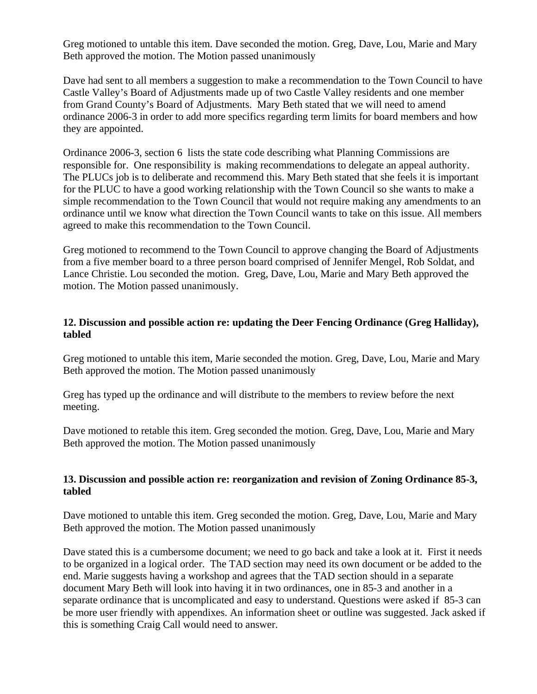Greg motioned to untable this item. Dave seconded the motion. Greg, Dave, Lou, Marie and Mary Beth approved the motion. The Motion passed unanimously

Dave had sent to all members a suggestion to make a recommendation to the Town Council to have Castle Valley's Board of Adjustments made up of two Castle Valley residents and one member from Grand County's Board of Adjustments. Mary Beth stated that we will need to amend ordinance 2006-3 in order to add more specifics regarding term limits for board members and how they are appointed.

Ordinance 2006-3, section 6 lists the state code describing what Planning Commissions are responsible for. One responsibility is making recommendations to delegate an appeal authority. The PLUCs job is to deliberate and recommend this. Mary Beth stated that she feels it is important for the PLUC to have a good working relationship with the Town Council so she wants to make a simple recommendation to the Town Council that would not require making any amendments to an ordinance until we know what direction the Town Council wants to take on this issue. All members agreed to make this recommendation to the Town Council.

Greg motioned to recommend to the Town Council to approve changing the Board of Adjustments from a five member board to a three person board comprised of Jennifer Mengel, Rob Soldat, and Lance Christie. Lou seconded the motion. Greg, Dave, Lou, Marie and Mary Beth approved the motion. The Motion passed unanimously.

## **12. Discussion and possible action re: updating the Deer Fencing Ordinance (Greg Halliday), tabled**

Greg motioned to untable this item, Marie seconded the motion. Greg, Dave, Lou, Marie and Mary Beth approved the motion. The Motion passed unanimously

Greg has typed up the ordinance and will distribute to the members to review before the next meeting.

Dave motioned to retable this item. Greg seconded the motion. Greg, Dave, Lou, Marie and Mary Beth approved the motion. The Motion passed unanimously

## **13. Discussion and possible action re: reorganization and revision of Zoning Ordinance 85-3, tabled**

Dave motioned to untable this item. Greg seconded the motion. Greg, Dave, Lou, Marie and Mary Beth approved the motion. The Motion passed unanimously

Dave stated this is a cumbersome document; we need to go back and take a look at it. First it needs to be organized in a logical order. The TAD section may need its own document or be added to the end. Marie suggests having a workshop and agrees that the TAD section should in a separate document Mary Beth will look into having it in two ordinances, one in 85-3 and another in a separate ordinance that is uncomplicated and easy to understand. Questions were asked if 85-3 can be more user friendly with appendixes. An information sheet or outline was suggested. Jack asked if this is something Craig Call would need to answer.